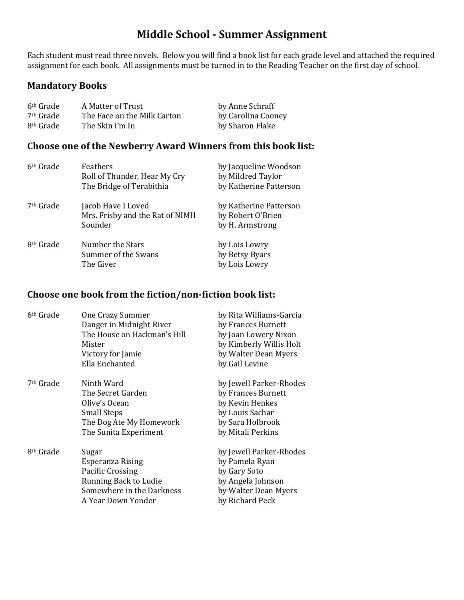# **Middle School - Summer Assignment**

Each student must read three novels. Below you will find a book list for each grade level and attached the required assignment for each book. All assignments must be turned in to the Reading Teacher on the first day of school.

#### **Mandatory Books**

| 6 <sup>th</sup> Grade | A Matter of Trust           | by Anne Schraff    |
|-----------------------|-----------------------------|--------------------|
| <sup>7th</sup> Grade  | The Face on the Milk Carton | by Carolina Cooney |
| 8 <sup>th</sup> Grade | The Skin I'm In             | by Sharon Flake    |

#### **Choose one of the Newberry Award Winners from this book list:**

| 6 <sup>th</sup> Grade | <b>Feathers</b><br>Roll of Thunder, Hear My Cry<br>The Bridge of Terabithia | by Jacqueline Woodson<br>by Mildred Taylor<br>by Katherine Patterson |
|-----------------------|-----------------------------------------------------------------------------|----------------------------------------------------------------------|
| 7 <sup>th</sup> Grade | Jacob Have I Loved<br>Mrs. Frisby and the Rat of NIMH<br>Sounder            | by Katherine Patterson<br>by Robert O'Brien<br>by H. Armstrong       |
| 8 <sup>th</sup> Grade | Number the Stars<br>Summer of the Swans<br>The Giver                        | by Lois Lowry<br>by Betsy Byars<br>by Lois Lowry                     |

### **Choose one book from the fiction/non-fiction book list:**

| 6th Grade<br>One Crazy Summer       |                             | by Rita Williams-Garcia |
|-------------------------------------|-----------------------------|-------------------------|
|                                     | Danger in Midnight River    | by Frances Burnett      |
|                                     | The House on Hackman's Hill | by Joan Lowery Nixon    |
| Mister                              |                             | by Kimberly Willis Holt |
| Victory for Jamie                   |                             | by Walter Dean Myers    |
| Ella Enchanted                      |                             | by Gail Levine          |
| 7 <sup>th</sup> Grade<br>Ninth Ward |                             | by Jewell Parker-Rhodes |
| The Secret Garden                   |                             | by Frances Burnett      |
| Olive's Ocean                       |                             | by Kevin Henkes         |
| <b>Small Steps</b>                  |                             | by Louis Sachar         |
|                                     | The Dog Ate My Homework     | by Sara Holbrook        |
| The Sunita Experiment               |                             | by Mitali Perkins       |
| 8 <sup>th</sup> Grade<br>Sugar      |                             | by Jewell Parker-Rhodes |
| Esperanza Rising                    |                             | by Pamela Ryan          |
| Pacific Crossing                    |                             | by Gary Soto            |
| Running Back to Ludie               |                             | by Angela Johnson       |
|                                     | Somewhere in the Darkness   | by Walter Dean Myers    |
| A Year Down Yonder                  |                             | by Richard Peck         |